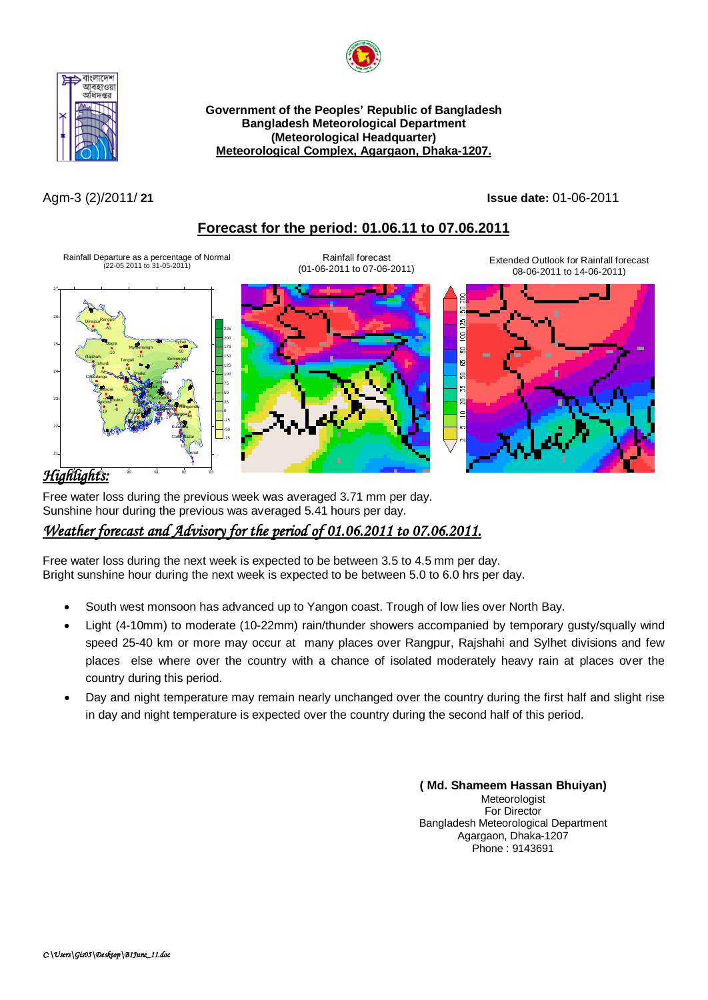



**Government of the Peoples' Republic of Bangladesh Bangladesh Meteorological Department (Meteorological Headquarter) Meteorological Complex, Agargaon, Dhaka-1207.**

Agm-3 (2)/2011/ **21 Issue date:** 01-06-2011

## **Forecast for the period: 01.06.11 to 07.06.2011**

Rainfall Departure as a percentage of Normal (22-05.2011 to 31-05-2011)



Extended Outlook for Rainfall forecast 08-06-2011 to 14-06-2011)







Free water loss during the previous week was averaged 3.71 mm per day. Sunshine hour during the previous was averaged 5.41 hours per day.

## *Weather forecast and Advisory for the period of 01.06.2011 to 07.06.2011.*

Free water loss during the next week is expected to be between 3.5 to 4.5 mm per day. Bright sunshine hour during the next week is expected to be between 5.0 to 6.0 hrs per day.

- South west monsoon has advanced up to Yangon coast. Trough of low lies over North Bay.
- Light (4-10mm) to moderate (10-22mm) rain/thunder showers accompanied by temporary gusty/squally wind speed 25-40 km or more may occur at many places over Rangpur, Rajshahi and Sylhet divisions and few places else where over the country with a chance of isolated moderately heavy rain at places over the country during this period.
- Day and night temperature may remain nearly unchanged over the country during the first half and slight rise in day and night temperature is expected over the country during the second half of this period.

**( Md. Shameem Hassan Bhuiyan)** Meteorologist For Director Bangladesh Meteorological Department Agargaon, Dhaka-1207 Phone : 9143691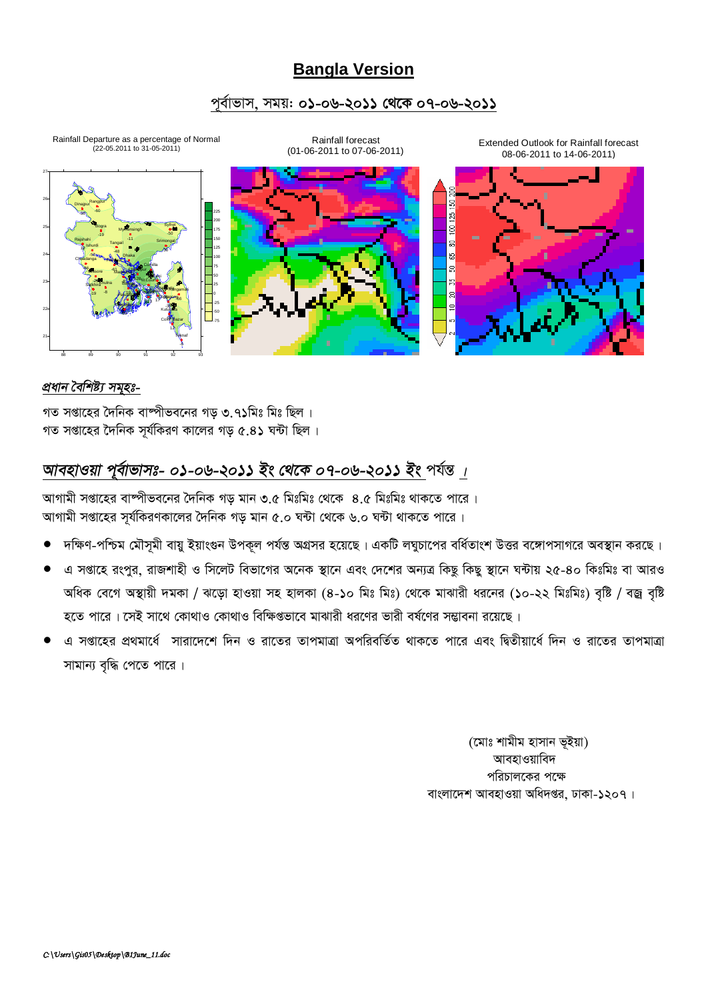# **Bangla Version**

## পূর্বাভাস, সময়: ০১-০৬-২০১১ থেকে ০৭-০৬-২০১১



## প্ৰধান বৈশিষ্ট্য সমহঃ-

গত সপ্তাহের দৈনিক বাষ্পীভবনের গড ৩ ৭১মিঃ মিঃ ছিল । গত সপ্তাহের দৈনিক সূর্যকিরণ কালের গড় ৫.৪১ ঘন্টা ছিল।

# আবহাওয়া পূর্বাভাসঃ- ০১-০৬-২০১১ ইং থেকে ০৭-০৬-২০১১ ইং পর্যন্ত ।

আগামী সপ্তাহের বাম্পীভবনের দৈনিক গড় মান ৩.৫ মিঃমিঃ থেকে ৪.৫ মিঃমিঃ থাকতে পারে। আগামী সপ্তাহের সর্যকিরণকালের দৈনিক গড মান ৫.০ ঘন্টা থেকে ৬.০ ঘন্টা থাকতে পারে।

- দক্ষিণ-পশ্চিম মৌসমী বায়ু ইয়াংগুন উপকূল পর্যন্ত অগ্রসর হয়েছে। একটি লঘুচাপের বর্ধিতাংশ উত্তর বঙ্গোপসাগরে অবস্থান করছে।
- এ সপ্তাহে রংপুর, রাজশাহী ও সিলেট বিভাগের অনেক স্থানে এবং দেশের অন্যত্র কিছু কিছু স্থানে ঘন্টায় ২৫-৪০ কিঃমিঃ বা আরও অধিক বেগে অস্থায়ী দমকা / ঝড়ো হাওয়া সহ হালকা (৪-১০ মিঃ মিঃ) থেকে মাঝারী ধরনের (১০-২২ মিঃমিঃ) বৃষ্টি / বজ্র বৃষ্টি হতে পারে। সেই সাথে কোথাও কোথাও বিক্ষিগুভাবে মাঝারী ধরণের ভারী বর্ষণের সম্ভাবনা রয়েছে।
- এ সপ্তাহের প্রথমার্ধে সারাদেশে দিন ও রাতের তাপমাত্রা অপরিবর্তিত থাকতে পারে এবং দ্বিতীয়ার্ধে দিন ও রাতের তাপমাত্রা সামান্য বৃদ্ধি পেতে পারে।

(মোঃ শামীম হাসান ভূইয়া) আবহাওয়াবিদ পরিচালকের পক্ষে বাংলাদেশ আবহাওয়া অধিদপ্তর, ঢাকা-১২০৭।